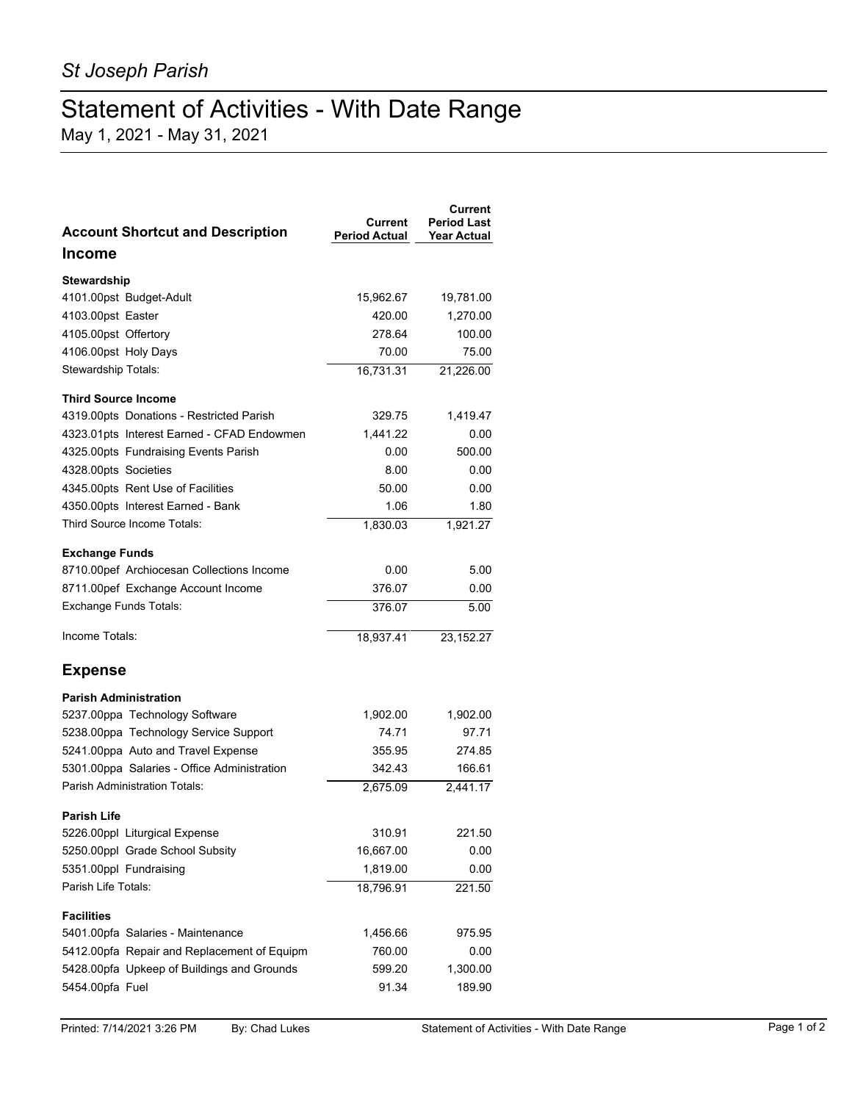## Statement of Activities - With Date Range

May 1, 2021 - May 31, 2021

| <b>Account Shortcut and Description</b>     | Current<br><b>Period Actual</b> | Current<br><b>Period Last</b><br><b>Year Actual</b> |
|---------------------------------------------|---------------------------------|-----------------------------------------------------|
| <b>Income</b>                               |                                 |                                                     |
| <b>Stewardship</b>                          |                                 |                                                     |
| 4101.00pst Budget-Adult                     | 15,962.67                       | 19,781.00                                           |
| 4103.00pst Easter                           | 420.00                          | 1,270.00                                            |
| 4105.00pst Offertory                        | 278.64                          | 100.00                                              |
| 4106.00pst Holy Days                        | 70.00                           | 75.00                                               |
| Stewardship Totals:                         | 16,731.31                       | 21,226.00                                           |
| <b>Third Source Income</b>                  |                                 |                                                     |
| 4319.00pts Donations - Restricted Parish    | 329.75                          | 1,419.47                                            |
| 4323.01pts Interest Earned - CFAD Endowmen  | 1,441.22                        | 0.00                                                |
| 4325.00pts Fundraising Events Parish        | 0.00                            | 500.00                                              |
| 4328.00pts Societies                        | 8.00                            | 0.00                                                |
| 4345.00pts Rent Use of Facilities           | 50.00                           | 0.00                                                |
| 4350.00pts Interest Earned - Bank           | 1.06                            | 1.80                                                |
| Third Source Income Totals:                 | 1,830.03                        | $1,92\overline{1.27}$                               |
| <b>Exchange Funds</b>                       |                                 |                                                     |
| 8710.00pef Archiocesan Collections Income   | 0.00                            | 5.00                                                |
| 8711.00pef Exchange Account Income          | 376.07                          | 0.00                                                |
| <b>Exchange Funds Totals:</b>               | 376.07                          | 5.00                                                |
| Income Totals:                              | 18,937.41                       | 23, 152. 27                                         |
| <b>Expense</b>                              |                                 |                                                     |
| <b>Parish Administration</b>                |                                 |                                                     |
| 5237.00ppa Technology Software              | 1,902.00                        | 1,902.00                                            |
| 5238.00ppa Technology Service Support       | 74.71                           | 97.71                                               |
| 5241.00ppa Auto and Travel Expense          | 355.95                          | 274.85                                              |
| 5301.00ppa Salaries - Office Administration | 342.43                          | 166.61                                              |
| <b>Parish Administration Totals:</b>        | 2,675.09                        | 2,441.17                                            |
| <b>Parish Life</b>                          |                                 |                                                     |
| 5226.00ppl Liturgical Expense               | 310.91                          | 221.50                                              |
| 5250.00ppl Grade School Subsity             | 16,667.00                       | 0.00                                                |
| 5351.00ppl Fundraising                      | 1,819.00                        | 0.00                                                |
| Parish Life Totals:                         | 18,796.91                       | 221.50                                              |
| <b>Facilities</b>                           |                                 |                                                     |
| 5401.00pfa Salaries - Maintenance           | 1,456.66                        | 975.95                                              |
| 5412.00pfa Repair and Replacement of Equipm | 760.00                          | 0.00                                                |
| 5428.00pfa Upkeep of Buildings and Grounds  | 599.20                          | 1,300.00                                            |
| 5454.00pfa Fuel                             | 91.34                           | 189.90                                              |